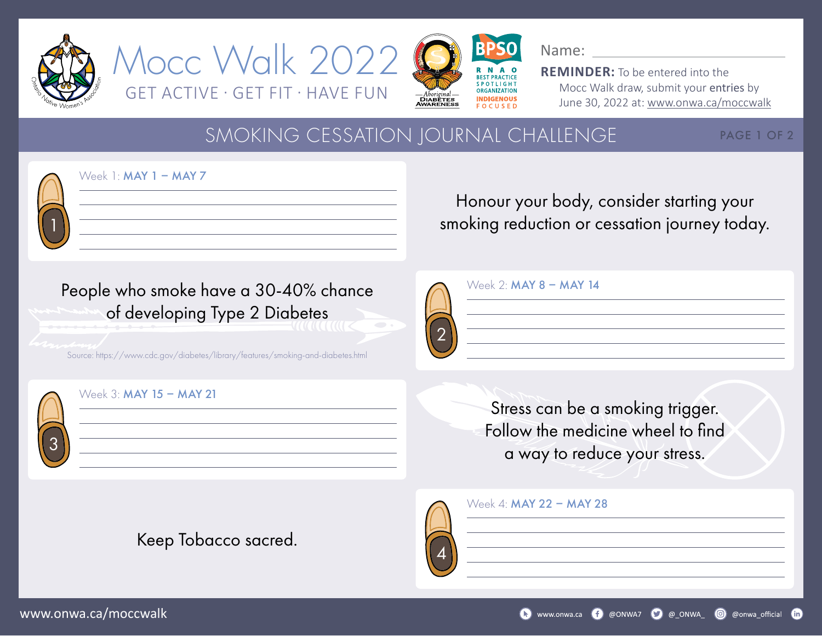







**REMINDER:** To be entered into the Mocc Walk draw, submit your entries by June 30, 2022 at: www.onwa.ca/moccwalk

## SMOKING CESSATION JOURNAL CHALLENGE

PAGE 1 OF 2

1

Week  $1:$  MAY  $1 -$  MAY  $7$ 

Honour your body, consider starting your smoking reduction or cessation journey today.

| People who smoke have a 30-40% chance |  |
|---------------------------------------|--|
| of developing Type 2 Diabetes         |  |

Source: https://www.cdc.gov/diabetes/library/features/smoking-and-diabetes.html

Keep Tobacco sacred.

4

|  | Week 2: MAY 8 - MAY 14 |  |  |
|--|------------------------|--|--|
|  |                        |  |  |
|  |                        |  |  |
|  |                        |  |  |

Stress can be a smoking trigger. Follow the medicine wheel to find a way to reduce your stress.

| Week 4: MAY 22 - MAY 28 |  |  |  |  |  |
|-------------------------|--|--|--|--|--|
|-------------------------|--|--|--|--|--|